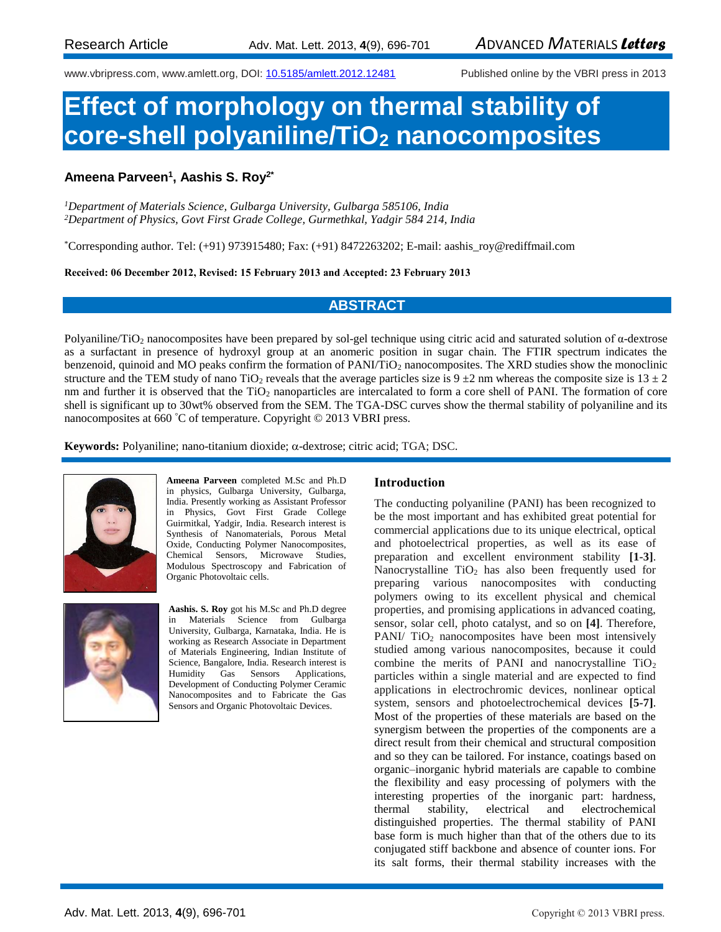[www.vbripress.com,](http://www.vbripress.com/) www.amlett.org, DOI[: 10.5185/amlett.2012.12481](http://dx.doi.org/10.5185/amlett.2012.12481) Published online by the VBRI press in 2013

# **Effect of morphology on thermal stability of core-shell polyaniline/TiO<sup>2</sup> nanocomposites**

# **Ameena Parveen<sup>1</sup> , Aashis S. Roy2\***

*<sup>1</sup>Department of Materials Science, Gulbarga University, Gulbarga 585106, India <sup>2</sup>Department of Physics, Govt First Grade College, Gurmethkal, Yadgir 584 214, India*

\*Corresponding author. Tel: (+91) 973915480; Fax: (+91) 8472263202; E-mail: aashis\_roy@rediffmail.com

**Received: 06 December 2012, Revised: 15 February 2013 and Accepted: 23 February 2013**

# **ABSTRACT**

Polyaniline/TiO<sup>2</sup> nanocomposites have been prepared by sol-gel technique using citric acid and saturated solution of α-dextrose as a surfactant in presence of hydroxyl group at an anomeric position in sugar chain. The FTIR spectrum indicates the benzenoid, quinoid and MO peaks confirm the formation of PANI/TiO<sub>2</sub> nanocomposites. The XRD studies show the monoclinic structure and the TEM study of nano TiO<sub>2</sub> reveals that the average particles size is  $9 \pm 2$  nm whereas the composite size is  $13 \pm 2$ nm and further it is observed that the  $TiO<sub>2</sub>$  nanoparticles are intercalated to form a core shell of PANI. The formation of core shell is significant up to 30wt% observed from the SEM. The TGA-DSC curves show the thermal stability of polyaniline and its nanocomposites at 660 °C of temperature. Copyright © 2013 VBRI press.

 $Keywords:$  Polyaniline; nano-titanium dioxide;  $\alpha$ -dextrose; citric acid; TGA; DSC.



**Ameena Parveen** completed M.Sc and Ph.D in physics, Gulbarga University, Gulbarga, India. Presently working as Assistant Professor in Physics, Govt First Grade College Guirmitkal, Yadgir, India. Research interest is Synthesis of Nanomaterials, Porous Metal Oxide, Conducting Polymer Nanocomposites, Chemical Sensors, Microwave Studies, Modulous Spectroscopy and Fabrication of Organic Photovoltaic cells.



**Aashis. S. Roy** got his M.Sc and Ph.D degree in Materials Science from Gulbarga University, Gulbarga, Karnataka, India. He is working as Research Associate in Department of Materials Engineering, Indian Institute of Science, Bangalore, India. Research interest is Humidity Gas Sensors Applications, Development of Conducting Polymer Ceramic Nanocomposites and to Fabricate the Gas Sensors and Organic Photovoltaic Devices.

## **Introduction**

The conducting polyaniline (PANI) has been recognized to be the most important and has exhibited great potential for commercial applications due to its unique electrical, optical and photoelectrical properties, as well as its ease of preparation and excellent environment stability **[1-3]**. Nanocrystalline  $TiO<sub>2</sub>$  has also been frequently used for preparing various nanocomposites with conducting polymers owing to its excellent physical and chemical properties, and promising applications in advanced coating, sensor, solar cell, photo catalyst, and so on **[4]**. Therefore, PANI/  $TiO<sub>2</sub>$  nanocomposites have been most intensively studied among various nanocomposites, because it could combine the merits of PANI and nanocrystalline  $TiO<sub>2</sub>$ particles within a single material and are expected to find applications in electrochromic devices, nonlinear optical system, sensors and photoelectrochemical devices **[5-7]**. Most of the properties of these materials are based on the synergism between the properties of the components are a direct result from their chemical and structural composition and so they can be tailored. For instance, coatings based on organic–inorganic hybrid materials are capable to combine the flexibility and easy processing of polymers with the interesting properties of the inorganic part: hardness, thermal stability, electrical and electrochemical distinguished properties. The thermal stability of PANI base form is much higher than that of the others due to its conjugated stiff backbone and absence of counter ions. For its salt forms, their thermal stability increases with the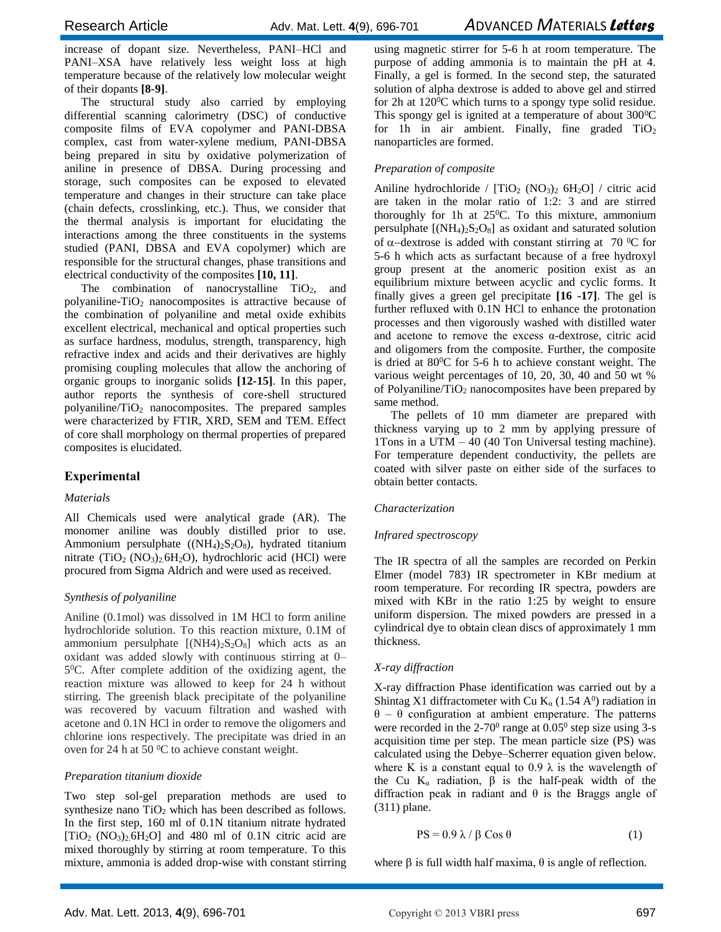increase of dopant size. Nevertheless, PANI–HCl and PANI–XSA have relatively less weight loss at high temperature because of the relatively low molecular weight of their dopants **[8-9]**.

The structural study also carried by employing differential scanning calorimetry (DSC) of conductive composite films of EVA copolymer and PANI-DBSA complex, cast from water-xylene medium, PANI-DBSA being prepared in situ by oxidative polymerization of aniline in presence of DBSA. During processing and storage, such composites can be exposed to elevated temperature and changes in their structure can take place (chain defects, crosslinking, etc.). Thus, we consider that the thermal analysis is important for elucidating the interactions among the three constituents in the systems studied (PANI, DBSA and EVA copolymer) which are responsible for the structural changes, phase transitions and electrical conductivity of the composites **[10, 11]**.

The combination of nanocrystalline  $TiO<sub>2</sub>$ , and polyaniline- $TiO<sub>2</sub>$  nanocomposites is attractive because of the combination of polyaniline and metal oxide exhibits excellent electrical, mechanical and optical properties such as surface hardness, modulus, strength, transparency, high refractive index and acids and their derivatives are highly promising coupling molecules that allow the anchoring of organic groups to inorganic solids **[12-15]**. In this paper, author reports the synthesis of core-shell structured polyaniline/TiO<sup>2</sup> nanocomposites. The prepared samples were characterized by FTIR, XRD, SEM and TEM. Effect of core shall morphology on thermal properties of prepared composites is elucidated.

# **Experimental**

## *Materials*

using magnetic stirrer for 5-6 h at room temperature. The purpose of adding ammonia is to maintain the pH at 4. Finally, a gel is formed. In the second step, the saturated solution of alpha dextrose is added to above gel and stirred for 2h at  $120^{\circ}$ C which turns to a spongy type solid residue. This spongy gel is ignited at a temperature of about  $300^{\circ}$ C for 1h in air ambient. Finally, fine graded  $TiO<sub>2</sub>$ nanoparticles are formed.

# *Preparation of composite*

Aniline hydrochloride /  $[TiO<sub>2</sub> (NO<sub>3</sub>)<sub>2</sub> 6H<sub>2</sub>O]$  / citric acid are taken in the molar ratio of 1:2: 3 and are stirred thoroughly for 1h at  $25^{\circ}$ C. To this mixture, ammonium persulphate  $[(NH_4)_2S_2O_8]$  as oxidant and saturated solution of  $\alpha$ -dextrose is added with constant stirring at 70 °C for 5-6 h which acts as surfactant because of a free hydroxyl group present at the anomeric position exist as an equilibrium mixture between acyclic and cyclic forms. It finally gives a green gel precipitate **[16 -17]**. The gel is further refluxed with 0.1N HCl to enhance the protonation processes and then vigorously washed with distilled water and acetone to remove the excess  $\alpha$ -dextrose, citric acid and oligomers from the composite. Further, the composite is dried at 80<sup>0</sup>C for 5-6 h to achieve constant weight. The various weight percentages of 10, 20, 30, 40 and 50 wt % of Polyaniline/TiO<sub>2</sub> nanocomposites have been prepared by same method.

The pellets of 10 mm diameter are prepared with thickness varying up to 2 mm by applying pressure of 1Tons in a UTM – 40 (40 Ton Universal testing machine). For temperature dependent conductivity, the pellets are coated with silver paste on either side of the surfaces to obtain better contacts.

## *Characterization*

## *Infrared spectroscopy*

The IR spectra of all the samples are recorded on Perkin Elmer (model 783) IR spectrometer in KBr medium at room temperature. For recording IR spectra, powders are mixed with KBr in the ratio 1:25 by weight to ensure uniform dispersion. The mixed powders are pressed in a cylindrical dye to obtain clean discs of approximately 1 mm thickness.

## *X-ray diffraction*

X-ray diffraction Phase identification was carried out by a Shintag X1 diffractometer with Cu  $K_{\alpha}$  (1.54 A<sup>0</sup>) radiation in θ – θ configuration at ambient emperature. The patterns were recorded in the  $2-70^{\circ}$  range at  $0.05^{\circ}$  step size using 3-s acquisition time per step. The mean particle size (PS) was calculated using the Debye–Scherrer equation given below. where K is a constant equal to 0.9  $\lambda$  is the wavelength of the Cu K<sub>α</sub> radiation,  $\beta$  is the half-peak width of the diffraction peak in radiant and θ is the Braggs angle of (311) plane.

$$
PS = 0.9 \lambda / \beta \cos \theta \tag{1}
$$

where  $\beta$  is full width half maxima,  $\theta$  is angle of reflection.

All Chemicals used were analytical grade (AR). The monomer aniline was doubly distilled prior to use. Ammonium persulphate  $((NH_4)_2S_2O_8)$ , hydrated titanium nitrate  $(TiO_2 (NO_3)_2.6H_2O)$ , hydrochloric acid (HCl) were procured from Sigma Aldrich and were used as received.

## *Synthesis of polyaniline*

Aniline (0.1mol) was dissolved in 1M HCl to form aniline hydrochloride solution. To this reaction mixture, 0.1M of ammonium persulphate  $[(NH4)_2S_2O_8]$  which acts as an oxidant was added slowly with continuous stirring at 0– 5 <sup>0</sup>C. After complete addition of the oxidizing agent, the reaction mixture was allowed to keep for 24 h without stirring. The greenish black precipitate of the polyaniline was recovered by vacuum filtration and washed with acetone and 0.1N HCl in order to remove the oligomers and chlorine ions respectively. The precipitate was dried in an oven for 24 h at 50 $\mathrm{^0C}$  to achieve constant weight.

# *Preparation titanium dioxide*

Two step sol-gel preparation methods are used to synthesize nano  $TiO<sub>2</sub>$  which has been described as follows. In the first step, 160 ml of 0.1N titanium nitrate hydrated  $[TiO<sub>2</sub> (NO<sub>3</sub>)<sub>2</sub> 6H<sub>2</sub>O]$  and 480 ml of 0.1N citric acid are mixed thoroughly by stirring at room temperature. To this mixture, ammonia is added drop-wise with constant stirring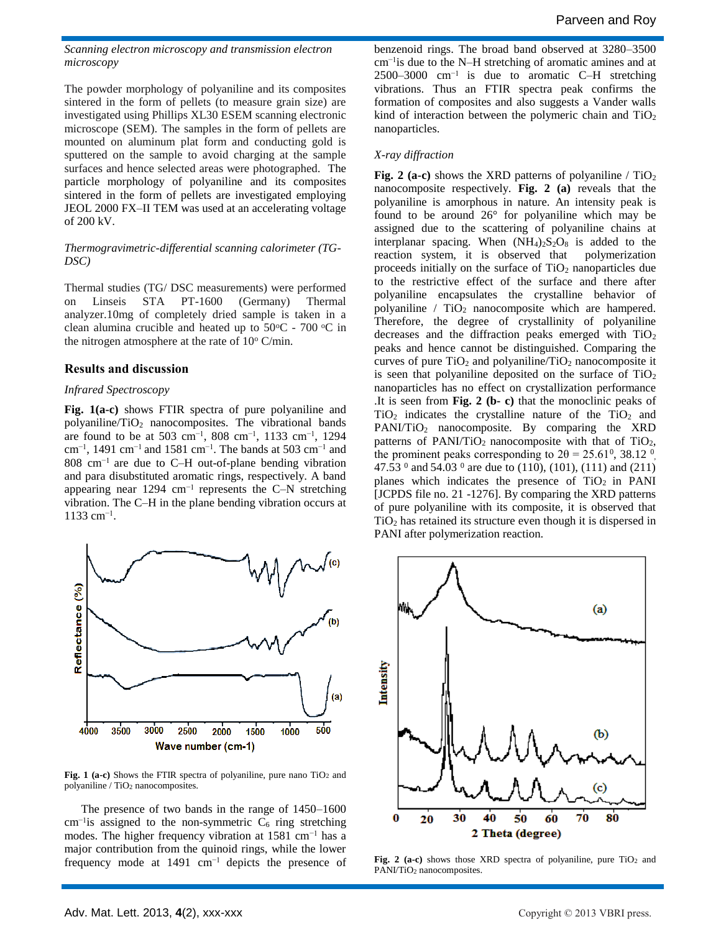*Scanning electron microscopy and transmission electron microscopy*

The powder morphology of polyaniline and its composites sintered in the form of pellets (to measure grain size) are investigated using Phillips XL30 ESEM scanning electronic microscope (SEM). The samples in the form of pellets are mounted on aluminum plat form and conducting gold is sputtered on the sample to avoid charging at the sample surfaces and hence selected areas were photographed.The particle morphology of polyaniline and its composites sintered in the form of pellets are investigated employing JEOL 2000 FX–II TEM was used at an accelerating voltage of 200 kV.

### *Thermogravimetric-differential scanning calorimeter (TG-DSC)*

Thermal studies (TG/ DSC measurements) were performed on Linseis STA PT-1600 (Germany) Thermal analyzer.10mg of completely dried sample is taken in a clean alumina crucible and heated up to  $50^{\circ}$ C -  $700^{\circ}$ C in the nitrogen atmosphere at the rate of  $10^{\circ}$  C/min.

## **Results and discussion**

### *Infrared Spectroscopy*

**Fig. 1(a-c)** shows FTIR spectra of pure polyaniline and polyaniline/TiO<sup>2</sup> nanocomposites. The vibrational bands are found to be at 503 cm−1, 808 cm−1, 1133 cm−1, 1294 cm−1, 1491 cm−1 and 1581 cm−1. The bands at 503 cm−1 and 808 cm−1 are due to C–H out-of-plane bending vibration and para disubstituted aromatic rings, respectively. A band appearing near 1294 cm−1 represents the C–N stretching vibration. The C–H in the plane bending vibration occurs at 1133 cm−1 .



Fig. 1 (a-c) Shows the FTIR spectra of polyaniline, pure nano TiO<sub>2</sub> and polyaniline / TiO<sup>2</sup> nanocomposites.

The presence of two bands in the range of 1450–1600 cm<sup>-1</sup>is assigned to the non-symmetric  $C_6$  ring stretching modes. The higher frequency vibration at 1581 cm<sup>-1</sup> has a major contribution from the quinoid rings, while the lower frequency mode at 1491 cm−1 depicts the presence of benzenoid rings. The broad band observed at 3280–3500 cm−1is due to the N–H stretching of aromatic amines and at 2500–3000 cm−1 is due to aromatic C–H stretching vibrations. Thus an FTIR spectra peak confirms the formation of composites and also suggests a Vander walls kind of interaction between the polymeric chain and  $TiO<sub>2</sub>$ nanoparticles.

### *X-ray diffraction*

**Fig. 2 (a-c)** shows the XRD patterns of polyaniline / TiO<sub>2</sub> nanocomposite respectively. **Fig. 2 (a)** reveals that the polyaniline is amorphous in nature. An intensity peak is found to be around 26° for polyaniline which may be assigned due to the scattering of polyaniline chains at interplanar spacing. When  $(NH_4)_2S_2O_8$  is added to the reaction system, it is observed that polymerization proceeds initially on the surface of  $TiO<sub>2</sub>$  nanoparticles due to the restrictive effect of the surface and there after polyaniline encapsulates the crystalline behavior of polyaniline  $/$  TiO<sub>2</sub> nanocomposite which are hampered. Therefore, the degree of crystallinity of polyaniline decreases and the diffraction peaks emerged with  $TiO<sub>2</sub>$ peaks and hence cannot be distinguished. Comparing the curves of pure  $TiO<sub>2</sub>$  and polyaniline/ $TiO<sub>2</sub>$  nanocomposite it is seen that polyaniline deposited on the surface of  $TiO<sub>2</sub>$ nanoparticles has no effect on crystallization performance .It is seen from **Fig. 2 (b- c)** that the monoclinic peaks of  $TiO<sub>2</sub>$  indicates the crystalline nature of the  $TiO<sub>2</sub>$  and PANI/TiO<sub>2</sub> nanocomposite. By comparing the XRD patterns of PANI/TiO<sub>2</sub> nanocomposite with that of TiO<sub>2</sub>, the prominent peaks corresponding to  $2\theta = 25.61^{\circ}$ , 38.12  $^{\circ}$ , 47.53  $^{\circ}$  and 54.03  $^{\circ}$  are due to (110), (101), (111) and (211) planes which indicates the presence of  $TiO<sub>2</sub>$  in PANI [JCPDS file no. 21 -1276]. By comparing the XRD patterns of pure polyaniline with its composite, it is observed that TiO<sup>2</sup> has retained its structure even though it is dispersed in PANI after polymerization reaction.



Fig. 2 (a-c) shows those XRD spectra of polyaniline, pure TiO<sub>2</sub> and PANI/TiO<sup>2</sup> nanocomposites.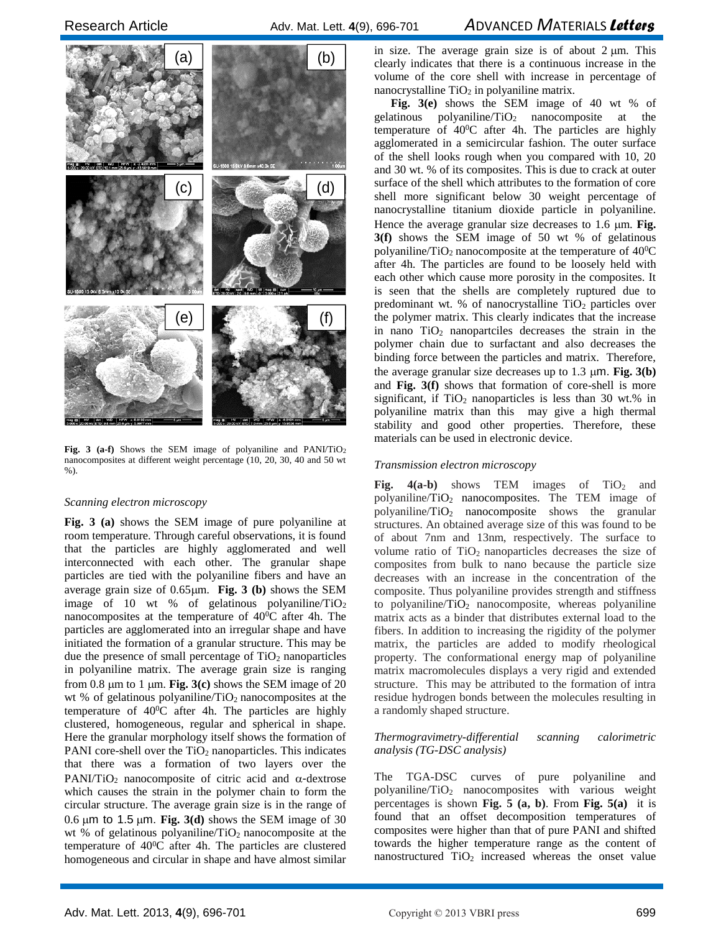

Fig. 3 (a-f) Shows the SEM image of polyaniline and PANI/TiO<sub>2</sub> nanocomposites at different weight percentage (10, 20, 30, 40 and 50 wt %).

#### *Scanning electron microscopy*

**Fig. 3 (a)** shows the SEM image of pure polyaniline at room temperature. Through careful observations, it is found that the particles are highly agglomerated and well interconnected with each other. The granular shape particles are tied with the polyaniline fibers and have an average grain size of  $0.65 \mu m$ . **Fig. 3** (b) shows the SEM image of 10 wt % of gelatinous polyaniline/ $TiO<sub>2</sub>$ nanocomposites at the temperature of 40<sup>0</sup>C after 4h. The particles are agglomerated into an irregular shape and have initiated the formation of a granular structure. This may be due the presence of small percentage of  $TiO<sub>2</sub>$  nanoparticles in polyaniline matrix. The average grain size is ranging from 0.8  $\mu$ m to 1  $\mu$ m. **Fig.** 3(c) shows the SEM image of 20 wt % of gelatinous polyaniline/ $TiO<sub>2</sub>$  nanocomposites at the temperature of 40<sup>0</sup>C after 4h. The particles are highly clustered, homogeneous, regular and spherical in shape. Here the granular morphology itself shows the formation of PANI core-shell over the  $TiO<sub>2</sub>$  nanoparticles. This indicates that there was a formation of two layers over the  $PANI/TiO<sub>2</sub>$  nanocomposite of citric acid and  $\alpha$ -dextrose which causes the strain in the polymer chain to form the circular structure. The average grain size is in the range of 0.6  $\mu$ m to 1.5  $\mu$ m. **Fig.** 3(d) shows the SEM image of 30 wt % of gelatinous polyaniline/ $TiO<sub>2</sub>$  nanocomposite at the temperature of 40<sup>0</sup>C after 4h. The particles are clustered homogeneous and circular in shape and have almost similar

in size. The average grain size is of about  $2 \mu m$ . This clearly indicates that there is a continuous increase in the volume of the core shell with increase in percentage of nanocrystalline  $TiO<sub>2</sub>$  in polyaniline matrix.

**Fig. 3(e)** shows the SEM image of 40 wt % of gelatinous polyaniline/ $TiO<sub>2</sub>$  nanocomposite at the temperature of 40<sup>0</sup>C after 4h. The particles are highly agglomerated in a semicircular fashion. The outer surface of the shell looks rough when you compared with 10, 20 and 30 wt. % of its composites. This is due to crack at outer surface of the shell which attributes to the formation of core shell more significant below 30 weight percentage of nanocrystalline titanium dioxide particle in polyaniline. Hence the average granular size decreases to 1.6  $\mu$ m. **Fig. 3(f)** shows the SEM image of 50 wt % of gelatinous polyaniline/ $TiO<sub>2</sub>$  nanocomposite at the temperature of  $40\degree$ C after 4h. The particles are found to be loosely held with each other which cause more porosity in the composites. It is seen that the shells are completely ruptured due to predominant wt. % of nanocrystalline  $TiO<sub>2</sub>$  particles over the polymer matrix. This clearly indicates that the increase in nano  $TiO<sub>2</sub>$  nanopartciles decreases the strain in the polymer chain due to surfactant and also decreases the binding force between the particles and matrix. Therefore, the average granular size decreases up to  $1.3 \mu m$ . **Fig. 3(b)** and **Fig. 3(f)** shows that formation of core-shell is more significant, if  $TiO<sub>2</sub>$  nanoparticles is less than 30 wt.% in polyaniline matrix than this may give a high thermal stability and good other properties. Therefore, these materials can be used in electronic device.

#### *Transmission electron microscopy*

**Fig. 4(a-b)** shows TEM images of  $TiO<sub>2</sub>$  and polyaniline/TiO<sup>2</sup> nanocomposites. The TEM image of polyaniline/TiO<sup>2</sup> nanocomposite shows the granular structures. An obtained average size of this was found to be of about 7nm and 13nm, respectively. The surface to volume ratio of TiO2 nanoparticles decreases the size of composites from bulk to nano because the particle size decreases with an increase in the concentration of the composite. Thus polyaniline provides strength and stiffness to polyaniline/ $TiO<sub>2</sub>$  nanocomposite, whereas polyaniline matrix acts as a binder that distributes external load to the fibers. In addition to increasing the rigidity of the polymer matrix, the particles are added to modify rheological property. The conformational energy map of polyaniline matrix macromolecules displays a very rigid and extended structure. This may be attributed to the formation of intra residue hydrogen bonds between the molecules resulting in a randomly shaped structure.

## *Thermogravimetry-differential scanning calorimetric analysis (TG-DSC analysis)*

The TGA-DSC curves of pure polyaniline and polyaniline/TiO<sup>2</sup> nanocomposites with various weight percentages is shown **Fig. 5 (a, b)**. From **Fig. 5(a)** it is found that an offset decomposition temperatures of composites were higher than that of pure PANI and shifted towards the higher temperature range as the content of nanostructured  $TiO<sub>2</sub>$  increased whereas the onset value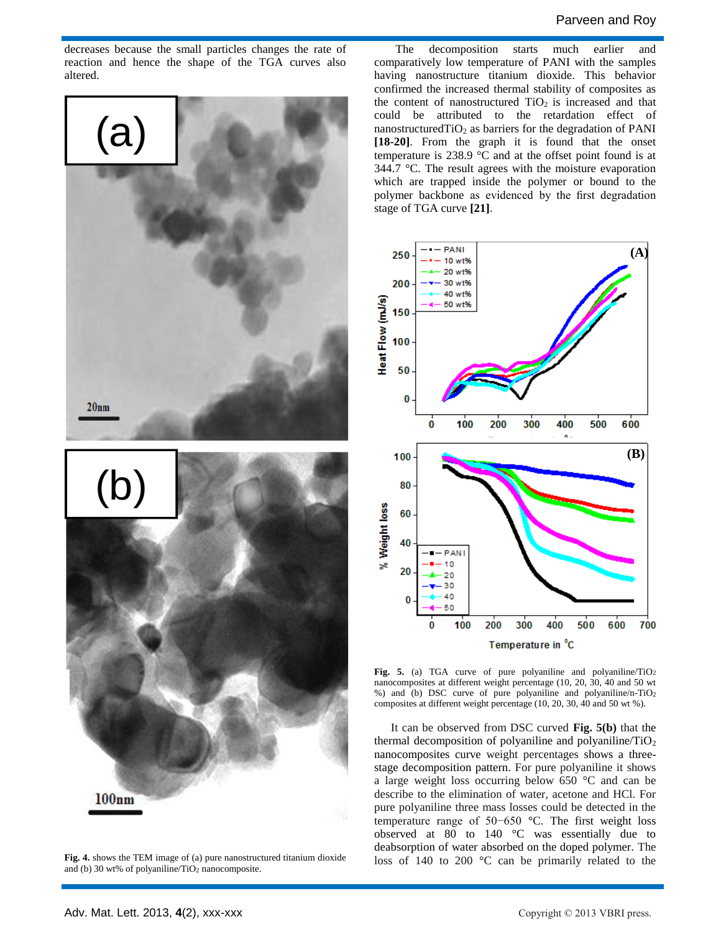decreases because the small particles changes the rate of reaction and hence the shape of the TGA curves also altered.



**Fig. 4.** shows the TEM image of (a) pure nanostructured titanium dioxide and (b) 30 wt% of polyaniline/TiO<sup>2</sup> nanocomposite.

The decomposition starts much earlier and comparatively low temperature of PANI with the samples having nanostructure titanium dioxide. This behavior confirmed the increased thermal stability of composites as the content of nanostructured  $TiO<sub>2</sub>$  is increased and that could be attributed to the retardation effect of nanostructured $TiO<sub>2</sub>$  as barriers for the degradation of PANI **[18-20]**. From the graph it is found that the onset temperature is 238.9 °C and at the offset point found is at 344.7 °C. The result agrees with the moisture evaporation which are trapped inside the polymer or bound to the polymer backbone as evidenced by the first degradation stage of TGA curve **[21]**.



**Fig. 5.** (a) TGA curve of pure polyaniline and polyaniline/TiO<sup>2</sup> nanocomposites at different weight percentage (10, 20, 30, 40 and 50 wt %) and (b) DSC curve of pure polyaniline and polyaniline/n-TiO<sup>2</sup> composites at different weight percentage (10, 20, 30, 40 and 50 wt %).

It can be observed from DSC curved **Fig. 5(b)** that the thermal decomposition of polyaniline and polyaniline/ $TiO<sub>2</sub>$ nanocomposites curve weight percentages shows a threestage decomposition pattern. For pure polyaniline it shows a large weight loss occurring below 650 °C and can be describe to the elimination of water, acetone and HCl. For pure polyaniline three mass losses could be detected in the temperature range of 50−650 °C. The first weight loss observed at  $80$  to  $140$  °C was essentially due to deabsorption of water absorbed on the doped polymer. The loss of 140 to 200 °C can be primarily related to the